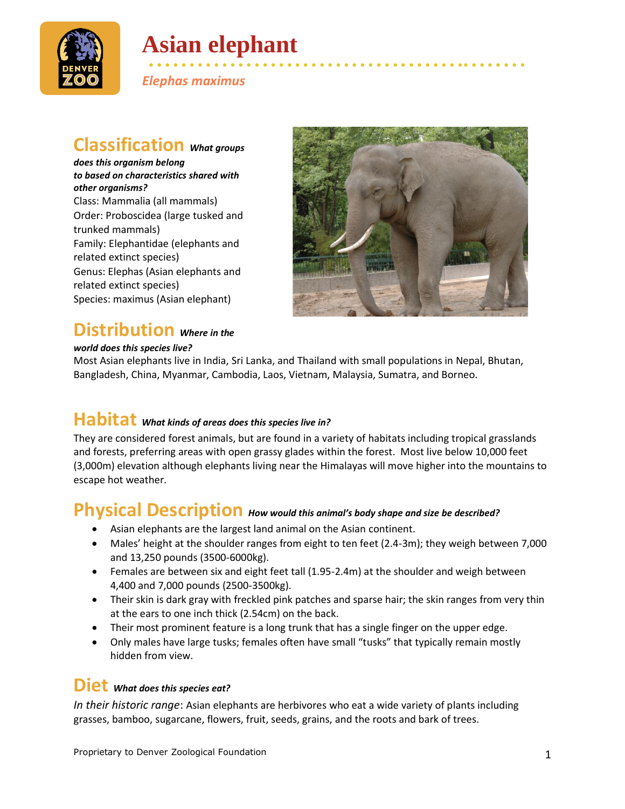

# **Asian elephant**

• • • • • • • • • • • • • • • • • • • • • • • • • • • • • • • • • • • • • • •• • • • • • • • *Elephas maximus*

### **Classification** *What groups*

*does this organism belong to based on characteristics shared with other organisms?* Class: Mammalia (all mammals) Order: Proboscidea (large tusked and trunked mammals) Family: Elephantidae (elephants and related extinct species) Genus: Elephas (Asian elephants and related extinct species) Species: maximus (Asian elephant)



### **Distribution** *Where in the*

#### *world does this species live?*

Most Asian elephants live in India, Sri Lanka, and Thailand with small populations in Nepal, Bhutan, Bangladesh, China, Myanmar, Cambodia, Laos, Vietnam, Malaysia, Sumatra, and Borneo.

## **Habitat** *What kinds of areas does this species live in?*

They are considered forest animals, but are found in a variety of habitats including tropical grasslands and forests, preferring areas with open grassy glades within the forest. Most live below 10,000 feet (3,000m) elevation although elephants living near the Himalayas will move higher into the mountains to escape hot weather.

#### **Physical Description** *How would this animal's body shape and size be described?*

- Asian elephants are the largest land animal on the Asian continent.
- Males' height at the shoulder ranges from eight to ten feet (2.4-3m); they weigh between 7,000 and 13,250 pounds (3500-6000kg).
- Females are between six and eight feet tall (1.95-2.4m) at the shoulder and weigh between 4,400 and 7,000 pounds (2500-3500kg).
- Their skin is dark gray with freckled pink patches and sparse hair; the skin ranges from very thin at the ears to one inch thick (2.54cm) on the back.
- Their most prominent feature is a long trunk that has a single finger on the upper edge.
- Only males have large tusks; females often have small "tusks" that typically remain mostly hidden from view.

### **Diet** *What does this species eat?*

*In their historic range*: Asian elephants are herbivores who eat a wide variety of plants including grasses, bamboo, sugarcane, flowers, fruit, seeds, grains, and the roots and bark of trees.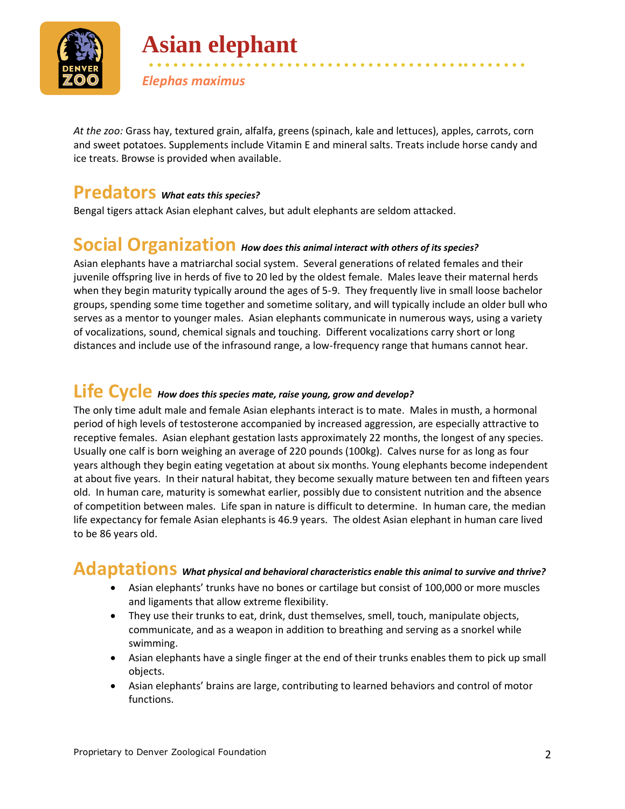

**Asian elephant**

*Elephas maximus*

*At the zoo:* Grass hay, textured grain, alfalfa, greens (spinach, kale and lettuces), apples, carrots, corn and sweet potatoes. Supplements include Vitamin E and mineral salts. Treats include horse candy and ice treats. Browse is provided when available.

• • • • • • • • • • • • • • • • • • • • • • • • • • • • • • • • • • • • • • •• • • • • • • •

#### **Predators** *What eats this species?*

Bengal tigers attack Asian elephant calves, but adult elephants are seldom attacked.

#### **Social Organization** *How does this animal interact with others of its species?*

Asian elephants have a matriarchal social system. Several generations of related females and their juvenile offspring live in herds of five to 20 led by the oldest female. Males leave their maternal herds when they begin maturity typically around the ages of 5-9. They frequently live in small loose bachelor groups, spending some time together and sometime solitary, and will typically include an older bull who serves as a mentor to younger males. Asian elephants communicate in numerous ways, using a variety of vocalizations, sound, chemical signals and touching. Different vocalizations carry short or long distances and include use of the infrasound range, a low-frequency range that humans cannot hear.

## **Life Cycle** *How does this species mate, raise young, grow and develop?*

The only time adult male and female Asian elephants interact is to mate. Males in musth, a hormonal period of high levels of testosterone accompanied by increased aggression, are especially attractive to receptive females. Asian elephant gestation lasts approximately 22 months, the longest of any species. Usually one calf is born weighing an average of 220 pounds (100kg). Calves nurse for as long as four years although they begin eating vegetation at about six months. Young elephants become independent at about five years. In their natural habitat, they become sexually mature between ten and fifteen years old. In human care, maturity is somewhat earlier, possibly due to consistent nutrition and the absence of competition between males. Life span in nature is difficult to determine. In human care, the median life expectancy for female Asian elephants is 46.9 years. The oldest Asian elephant in human care lived to be 86 years old.

### **Adaptations** *What physical and behavioral characteristics enable this animal to survive and thrive?*

- Asian elephants' trunks have no bones or cartilage but consist of 100,000 or more muscles and ligaments that allow extreme flexibility.
- They use their trunks to eat, drink, dust themselves, smell, touch, manipulate objects, communicate, and as a weapon in addition to breathing and serving as a snorkel while swimming.
- Asian elephants have a single finger at the end of their trunks enables them to pick up small objects.
- Asian elephants' brains are large, contributing to learned behaviors and control of motor functions.